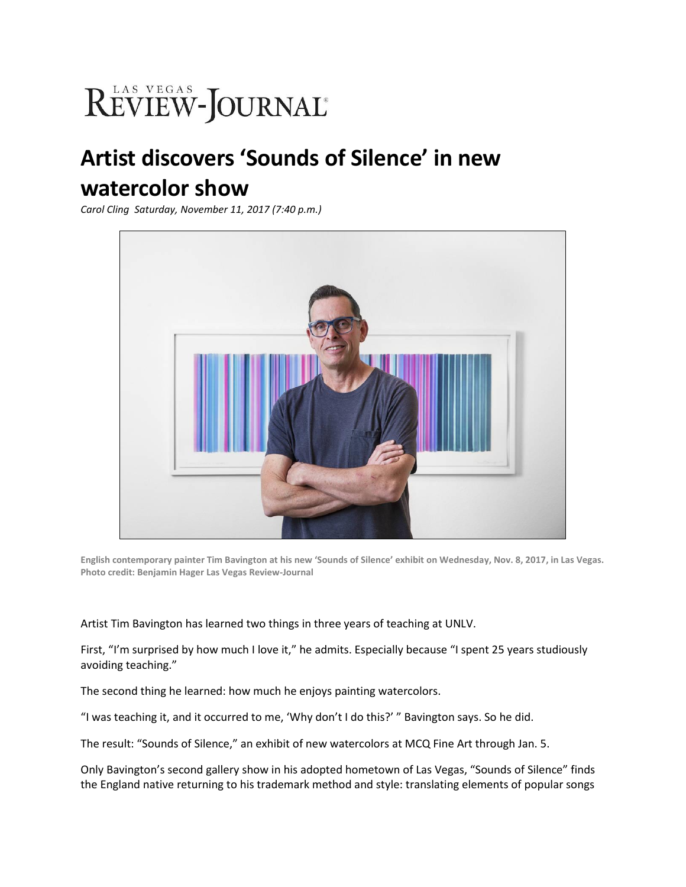## REVIEW-JOURNAL®

## **Artist discovers 'Sounds of Silence' in new watercolor show**

*Carol Cling Saturday, November 11, 2017 (7:40 p.m.)*



**English contemporary painter Tim Bavington at his new 'Sounds of Silence' exhibit on Wednesday, Nov. 8, 2017, in Las Vegas. Photo credit: Benjamin Hager Las Vegas Review-Journal**

Artist Tim Bavington has learned two things in three years of teaching at UNLV.

First, "I'm surprised by how much I love it," he admits. Especially because "I spent 25 years studiously avoiding teaching."

The second thing he learned: how much he enjoys painting watercolors.

"I was teaching it, and it occurred to me, 'Why don't I do this?' " Bavington says. So he did.

The result: "Sounds of Silence," an exhibit of new watercolors at MCQ Fine Art through Jan. 5.

Only Bavington's second gallery show in his adopted hometown of Las Vegas, "Sounds of Silence" finds the England native returning to his trademark method and style: translating elements of popular songs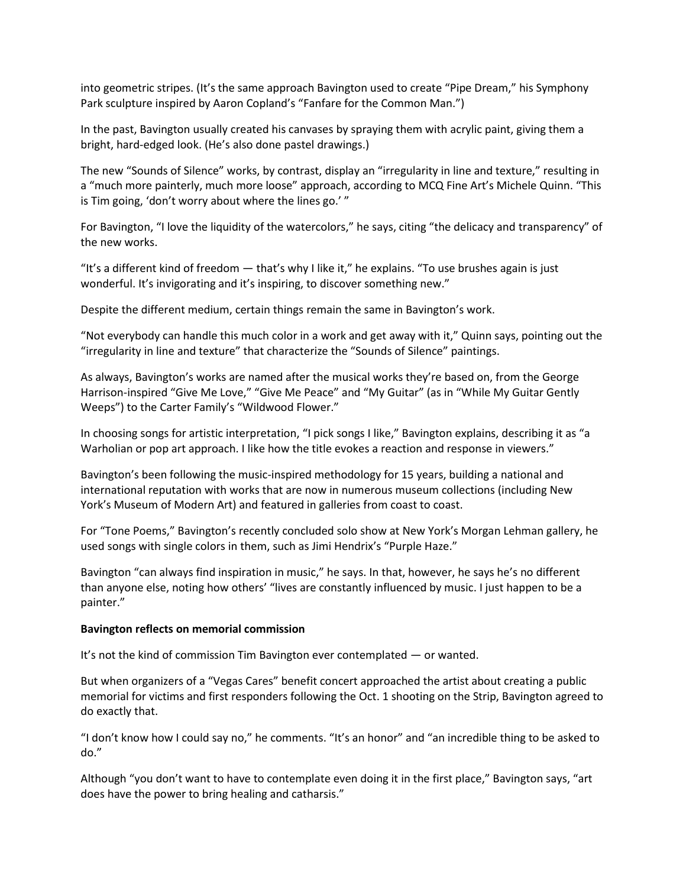into geometric stripes. (It's the same approach Bavington used to create "Pipe Dream," his Symphony Park sculpture inspired by Aaron Copland's "Fanfare for the Common Man.")

In the past, Bavington usually created his canvases by spraying them with acrylic paint, giving them a bright, hard-edged look. (He's also done pastel drawings.)

The new "Sounds of Silence" works, by contrast, display an "irregularity in line and texture," resulting in a "much more painterly, much more loose" approach, according to MCQ Fine Art's Michele Quinn. "This is Tim going, 'don't worry about where the lines go.' "

For Bavington, "I love the liquidity of the watercolors," he says, citing "the delicacy and transparency" of the new works.

"It's a different kind of freedom — that's why I like it," he explains. "To use brushes again is just wonderful. It's invigorating and it's inspiring, to discover something new."

Despite the different medium, certain things remain the same in Bavington's work.

"Not everybody can handle this much color in a work and get away with it," Quinn says, pointing out the "irregularity in line and texture" that characterize the "Sounds of Silence" paintings.

As always, Bavington's works are named after the musical works they're based on, from the George Harrison-inspired "Give Me Love," "Give Me Peace" and "My Guitar" (as in "While My Guitar Gently Weeps") to the Carter Family's "Wildwood Flower."

In choosing songs for artistic interpretation, "I pick songs I like," Bavington explains, describing it as "a Warholian or pop art approach. I like how the title evokes a reaction and response in viewers."

Bavington's been following the music-inspired methodology for 15 years, building a national and international reputation with works that are now in numerous museum collections (including New York's Museum of Modern Art) and featured in galleries from coast to coast.

For "Tone Poems," Bavington's recently concluded solo show at New York's Morgan Lehman gallery, he used songs with single colors in them, such as Jimi Hendrix's "Purple Haze."

Bavington "can always find inspiration in music," he says. In that, however, he says he's no different than anyone else, noting how others' "lives are constantly influenced by music. I just happen to be a painter."

## **Bavington reflects on memorial commission**

It's not the kind of commission Tim Bavington ever contemplated — or wanted.

But when organizers of a "Vegas Cares" benefit concert approached the artist about creating a public memorial for victims and first responders following the Oct. 1 shooting on the Strip, Bavington agreed to do exactly that.

"I don't know how I could say no," he comments. "It's an honor" and "an incredible thing to be asked to do."

Although "you don't want to have to contemplate even doing it in the first place," Bavington says, "art does have the power to bring healing and catharsis."